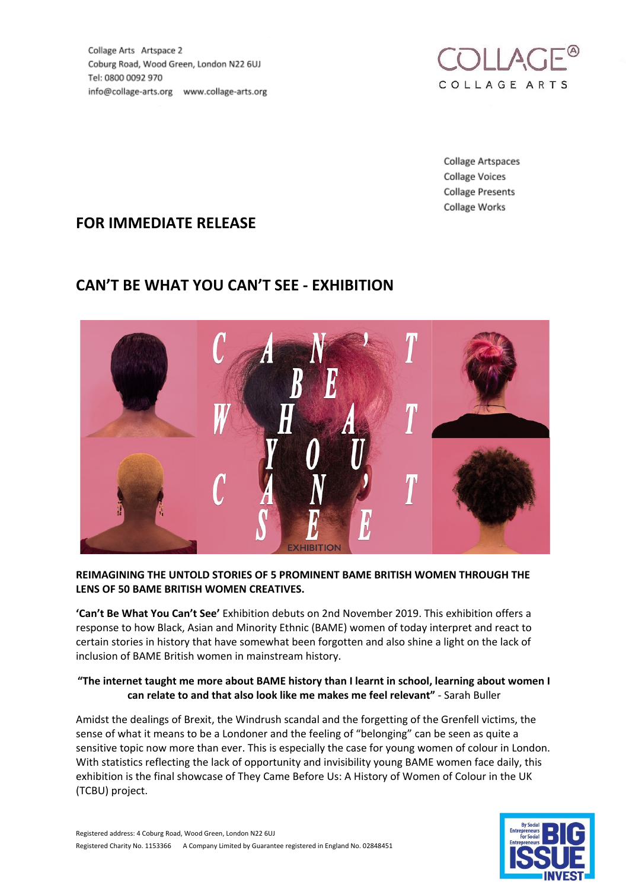Collage Arts Artspace 2 Coburg Road, Wood Green, London N22 6UJ Tel: 0800 0092 970 info@collage-arts.org www.collage-arts.org



Collage Artspaces **Collage Voices Collage Presents** Collage Works

# **FOR IMMEDIATE RELEASE**

# **CAN'T BE WHAT YOU CAN'T SEE - EXHIBITION**



#### **REIMAGINING THE UNTOLD STORIES OF 5 PROMINENT BAME BRITISH WOMEN THROUGH THE LENS OF 50 BAME BRITISH WOMEN CREATIVES.**

**'Can't Be What You Can't See'** Exhibition debuts on 2nd November 2019. This exhibition offers a response to how Black, Asian and Minority Ethnic (BAME) women of today interpret and react to certain stories in history that have somewhat been forgotten and also shine a light on the lack of inclusion of BAME British women in mainstream history.

### **"The internet taught me more about BAME history than I learnt in school, learning about women I can relate to and that also look like me makes me feel relevant"** - Sarah Buller

Amidst the dealings of Brexit, the Windrush scandal and the forgetting of the Grenfell victims, the sense of what it means to be a Londoner and the feeling of "belonging" can be seen as quite a sensitive topic now more than ever. This is especially the case for young women of colour in London. With statistics reflecting the lack of opportunity and invisibility young BAME women face daily, this exhibition is the final showcase of They Came Before Us: A History of Women of Colour in the UK (TCBU) project.

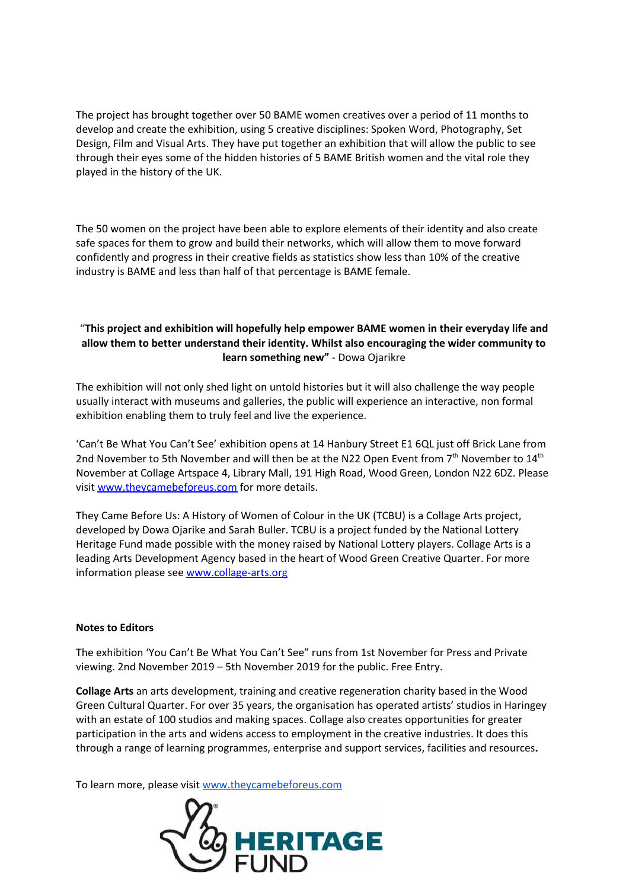The project has brought together over 50 BAME women creatives over a period of 11 months to develop and create the exhibition, using 5 creative disciplines: Spoken Word, Photography, Set Design, Film and Visual Arts. They have put together an exhibition that will allow the public to see through their eyes some of the hidden histories of 5 BAME British women and the vital role they played in the history of the UK.

The 50 women on the project have been able to explore elements of their identity and also create safe spaces for them to grow and build their networks, which will allow them to move forward confidently and progress in their creative fields as statistics show less than 10% of the creative industry is BAME and less than half of that percentage is BAME female.

## **"This project and exhibition will hopefully help empower BAME women in their everyday life and allow them to better understand their identity. Whilst also encouraging the wider community to learn something new"** - Dowa Ojarikre

The exhibition will not only shed light on untold histories but it will also challenge the way people usually interact with museums and galleries, the public will experience an interactive, non formal exhibition enabling them to truly feel and live the experience.

'Can't Be What You Can't See' exhibition opens at 14 Hanbury Street E1 6QL just off Brick Lane from 2nd November to 5th November and will then be at the N22 Open Event from 7<sup>th</sup> November to 14<sup>th</sup> November at Collage Artspace 4, Library Mall, 191 High Road, Wood Green, London N22 6DZ. Please visit [www.theycamebeforeus.com](http://www.theycamebeforeus.com/) for more details.

They Came Before Us: A History of Women of Colour in the UK (TCBU) is a Collage Arts project, developed by Dowa Ojarike and Sarah Buller. TCBU is a project funded by the National Lottery Heritage Fund made possible with the money raised by National Lottery players. Collage Arts is a leading Arts Development Agency based in the heart of Wood Green Creative Quarter. For more information please see [www.collage-arts.org](http://www.collage-arts.org/)

#### **Notes to Editors**

The exhibition 'You Can't Be What You Can't See" runs from 1st November for Press and Private viewing. 2nd November 2019 – 5th November 2019 for the public. Free Entry.

**Collage Arts** an arts development, training and creative regeneration charity based in the Wood Green Cultural Quarter. For over 35 years, the organisation has operated artists' studios in Haringey with an estate of 100 studios and making spaces. Collage also creates opportunities for greater participation in the arts and widens access to employment in the creative industries. It does this through a range of learning programmes, enterprise and support services, facilities and resources**.**

To learn more, please visit [www.theycamebeforeus.com](http://www.theycamebeforeus.com/)